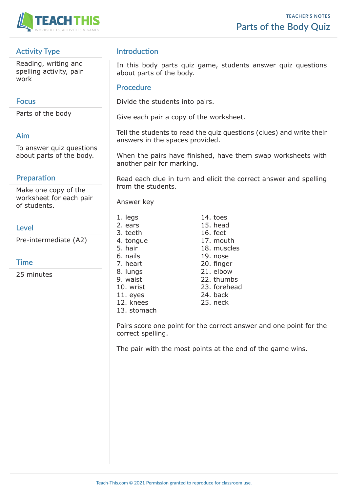

# **Activity Type**

Reading, writing and spelling activity, pair work

#### **Focus**

Parts of the body

# **Aim**

To answer quiz questions about parts of the body.

## **Preparation**

Make one copy of the worksheet for each pair of students.

## **Level**

Pre-intermediate (A2)

## **Time**

25 minutes

# **Introduction**

In this body parts quiz game, students answer quiz questions about parts of the body.

#### **Procedure**

Divide the students into pairs.

Give each pair a copy of the worksheet.

Tell the students to read the quiz questions (clues) and write their answers in the spaces provided.

When the pairs have finished, have them swap worksheets with another pair for marking.

Read each clue in turn and elicit the correct answer and spelling from the students.

Answer key

- 1. legs 14. toes 2. ears 15. head 3. teeth 16. feet 4. tongue 17. mouth 5. hair 18. muscles 6. nails 19. nose 7. heart 20. finger 8. lungs 21. elbow 9. waist 22. thumbs 10. wrist 23. forehead 11. eyes 24. back
- 12. knees 25. neck
- 
- 13. stomach

Pairs score one point for the correct answer and one point for the correct spelling.

The pair with the most points at the end of the game wins.